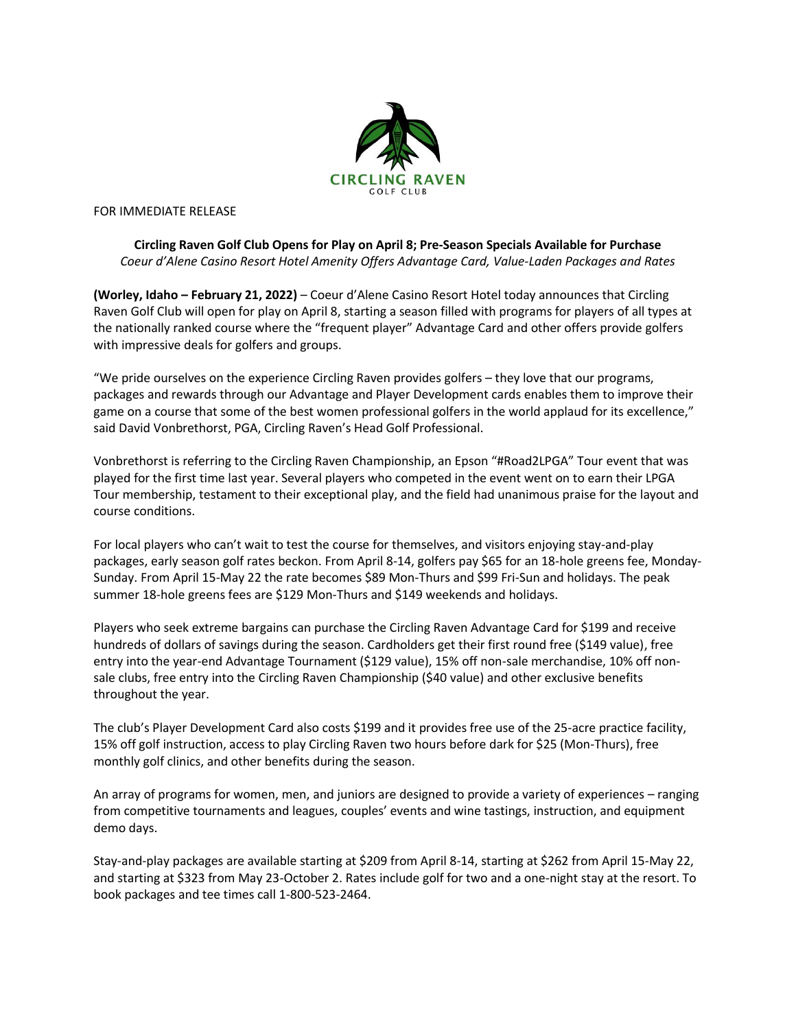

FOR IMMEDIATE RELEASE

## **Circling Raven Golf Club Opens for Play on April 8; Pre-Season Specials Available for Purchase** *Coeur d'Alene Casino Resort Hotel Amenity Offers Advantage Card, Value-Laden Packages and Rates*

**(Worley, Idaho – February 21, 2022)** – Coeur d'Alene Casino Resort Hotel today announces that Circling Raven Golf Club will open for play on April 8, starting a season filled with programs for players of all types at the nationally ranked course where the "frequent player" Advantage Card and other offers provide golfers with impressive deals for golfers and groups.

"We pride ourselves on the experience Circling Raven provides golfers – they love that our programs, packages and rewards through our Advantage and Player Development cards enables them to improve their game on a course that some of the best women professional golfers in the world applaud for its excellence," said David Vonbrethorst, PGA, Circling Raven's Head Golf Professional.

Vonbrethorst is referring to the Circling Raven Championship, an Epson "#Road2LPGA" Tour event that was played for the first time last year. Several players who competed in the event went on to earn their LPGA Tour membership, testament to their exceptional play, and the field had unanimous praise for the layout and course conditions.

For local players who can't wait to test the course for themselves, and visitors enjoying stay-and-play packages, early season golf rates beckon. From April 8-14, golfers pay \$65 for an 18-hole greens fee, Monday-Sunday. From April 15-May 22 the rate becomes \$89 Mon-Thurs and \$99 Fri-Sun and holidays. The peak summer 18-hole greens fees are \$129 Mon-Thurs and \$149 weekends and holidays.

Players who seek extreme bargains can purchase the Circling Raven Advantage Card for \$199 and receive hundreds of dollars of savings during the season. Cardholders get their first round free (\$149 value), free entry into the year-end Advantage Tournament (\$129 value), 15% off non-sale merchandise, 10% off nonsale clubs, free entry into the Circling Raven Championship (\$40 value) and other exclusive benefits throughout the year.

The club's Player Development Card also costs \$199 and it provides free use of the 25-acre practice facility, 15% off golf instruction, access to play Circling Raven two hours before dark for \$25 (Mon-Thurs), free monthly golf clinics, and other benefits during the season.

An array of programs for women, men, and juniors are designed to provide a variety of experiences – ranging from competitive tournaments and leagues, couples' events and wine tastings, instruction, and equipment demo days.

Stay-and-play packages are available starting at \$209 from April 8-14, starting at \$262 from April 15-May 22, and starting at \$323 from May 23-October 2. Rates include golf for two and a one-night stay at the resort. To book packages and tee times call 1-800-523-2464.